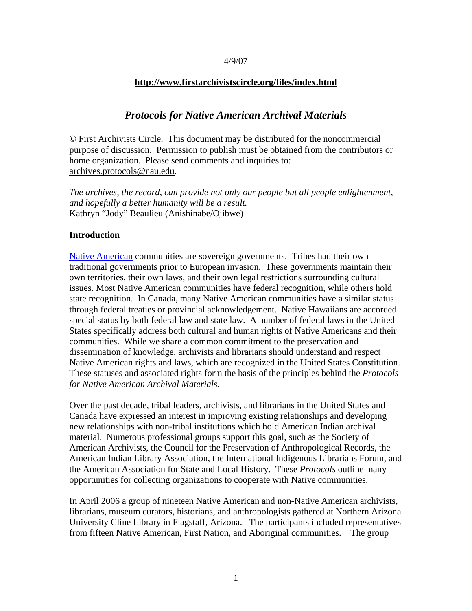### 4/9/07

## **http://www.firstarchivistscircle.org/files/index.html**

# *Protocols for Native American Archival Materials*

© First Archivists Circle. This document may be distributed for the noncommercial purpose of discussion. Permission to publish must be obtained from the contributors or home organization. Please send comments and inquiries to: archives.protocols@nau.edu.

*The archives, the record, can provide not only our people but all people enlightenment, and hopefully a better humanity will be a result.*  Kathryn "Jody" Beaulieu (Anishinabe/Ojibwe)

### **Introduction**

Native American communities are sovereign governments. Tribes had their own traditional governments prior to European invasion. These governments maintain their own territories, their own laws, and their own legal restrictions surrounding cultural issues. Most Native American communities have federal recognition, while others hold state recognition. In Canada, many Native American communities have a similar status through federal treaties or provincial acknowledgement. Native Hawaiians are accorded special status by both federal law and state law. A number of federal laws in the United States specifically address both cultural and human rights of Native Americans and their communities. While we share a common commitment to the preservation and dissemination of knowledge, archivists and librarians should understand and respect Native American rights and laws, which are recognized in the United States Constitution. These statuses and associated rights form the basis of the principles behind the *Protocols for Native American Archival Materials.* 

Over the past decade, tribal leaders, archivists, and librarians in the United States and Canada have expressed an interest in improving existing relationships and developing new relationships with non-tribal institutions which hold American Indian archival material. Numerous professional groups support this goal, such as the Society of American Archivists, the Council for the Preservation of Anthropological Records, the American Indian Library Association, the International Indigenous Librarians Forum, and the American Association for State and Local History. These *Protocols* outline many opportunities for collecting organizations to cooperate with Native communities.

In April 2006 a group of nineteen Native American and non-Native American archivists, librarians, museum curators, historians, and anthropologists gathered at Northern Arizona University Cline Library in Flagstaff, Arizona. The participants included representatives from fifteen Native American, First Nation, and Aboriginal communities. The group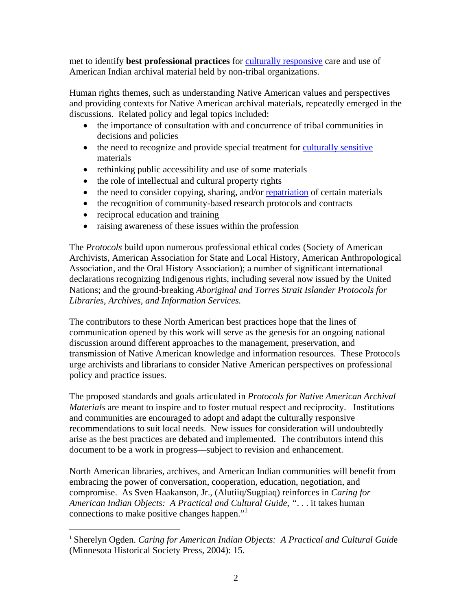met to identify **best professional practices** for culturally responsive care and use of American Indian archival material held by non-tribal organizations.

Human rights themes, such as understanding Native American values and perspectives and providing contexts for Native American archival materials, repeatedly emerged in the discussions. Related policy and legal topics included:

- the importance of consultation with and concurrence of tribal communities in decisions and policies
- the need to recognize and provide special treatment for culturally sensitive materials
- rethinking public accessibility and use of some materials
- the role of intellectual and cultural property rights
- the need to consider copying, sharing, and/or repatriation of certain materials
- the recognition of community-based research protocols and contracts
- reciprocal education and training

 $\overline{a}$ 

• raising awareness of these issues within the profession

The *Protocols* build upon numerous professional ethical codes (Society of American Archivists, American Association for State and Local History, American Anthropological Association, and the Oral History Association); a number of significant international declarations recognizing Indigenous rights, including several now issued by the United Nations; and the ground-breaking *Aboriginal and Torres Strait Islander Protocols for Libraries, Archives, and Information Services.* 

The contributors to these North American best practices hope that the lines of communication opened by this work will serve as the genesis for an ongoing national discussion around different approaches to the management, preservation, and transmission of Native American knowledge and information resources. These Protocols urge archivists and librarians to consider Native American perspectives on professional policy and practice issues.

The proposed standards and goals articulated in *Protocols for Native American Archival Materials* are meant to inspire and to foster mutual respect and reciprocity. Institutions and communities are encouraged to adopt and adapt the culturally responsive recommendations to suit local needs. New issues for consideration will undoubtedly arise as the best practices are debated and implemented. The contributors intend this document to be a work in progress—subject to revision and enhancement.

North American libraries, archives, and American Indian communities will benefit from embracing the power of conversation, cooperation, education, negotiation, and compromise. As Sven Haakanson, Jr., (Alutiiq/Sugpiaq) reinforces in *Caring for American Indian Objects: A Practical and Cultural Guide*, *"*. . . it takes human connections to make positive changes happen."1

<sup>1</sup> Sherelyn Ogden. *Caring for American Indian Objects: A Practical and Cultural Guid*e (Minnesota Historical Society Press, 2004): 15.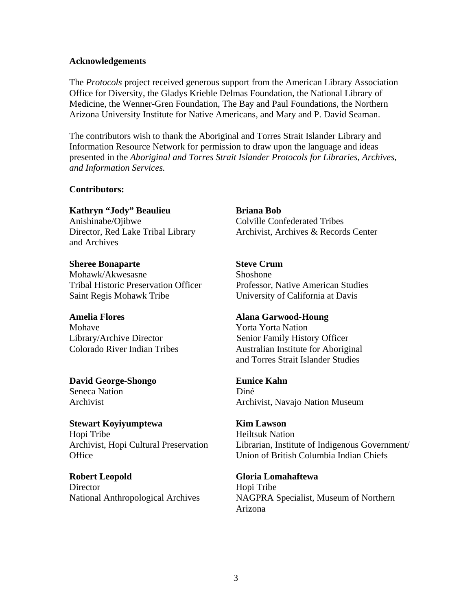### **Acknowledgements**

The *Protocols* project received generous support from the American Library Association Office for Diversity, the Gladys Krieble Delmas Foundation, the National Library of Medicine, the Wenner-Gren Foundation, The Bay and Paul Foundations, the Northern Arizona University Institute for Native Americans, and Mary and P. David Seaman.

The contributors wish to thank the Aboriginal and Torres Strait Islander Library and Information Resource Network for permission to draw upon the language and ideas presented in the *Aboriginal and Torres Strait Islander Protocols for Libraries, Archives, and Information Services.* 

## **Contributors:**

**Kathryn "Jody" Beaulieu Briana Bob**

Director, Red Lake Tribal Library Archivist, Archives & Records Center and Archives

**Sheree Bonaparte Steve Crum** Mohawk/Akwesasne Shoshone Saint Regis Mohawk Tribe University of California at Davis

Mohave **Yorta Yorta Nation** 

**David George-Shongo Eunice Kahn** Seneca Nation Diné

**Stewart Koyiyumptewa Kim Lawson** Hopi Tribe **Heiltsuk Nation** 

**Robert Leopold Gloria Lomahaftewa** Director Hopi Tribe

Anishinabe/Ojibwe Colville Confederated Tribes

Tribal Historic Preservation Officer Professor, Native American Studies

### **Amelia Flores Alana Garwood-Houng**

Library/Archive Director Senior Family History Officer Colorado River Indian Tribes Australian Institute for Aboriginal and Torres Strait Islander Studies

Archivist Archivist, Navajo Nation Museum

Archivist, Hopi Cultural Preservation Librarian, Institute of Indigenous Government/ Office Union of British Columbia Indian Chiefs

National Anthropological Archives NAGPRA Specialist, Museum of Northern Arizona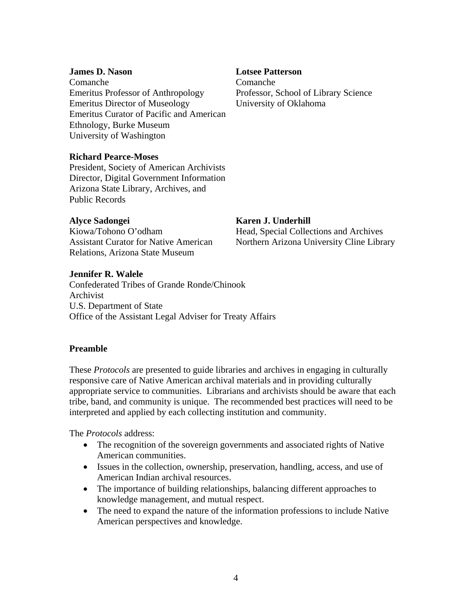Comanche Comanche Emeritus Professor of Anthropology Professor, School of Library Science Emeritus Director of Museology University of Oklahoma Emeritus Curator of Pacific and American Ethnology, Burke Museum University of Washington

## **James D. Nason Lotsee Patterson**

# **Richard Pearce-Moses**

President, Society of American Archivists Director, Digital Government Information Arizona State Library, Archives, and Public Records

## **Alyce Sadongei Karen J. Underhill**

Relations, Arizona State Museum

Kiowa/Tohono O'odham Head, Special Collections and Archives Assistant Curator for Native American Northern Arizona University Cline Library

# **Jennifer R. Walele**

Confederated Tribes of Grande Ronde/Chinook Archivist U.S. Department of State Office of the Assistant Legal Adviser for Treaty Affairs

## **Preamble**

These *Protocols* are presented to guide libraries and archives in engaging in culturally responsive care of Native American archival materials and in providing culturally appropriate service to communities. Librarians and archivists should be aware that each tribe, band, and community is unique. The recommended best practices will need to be interpreted and applied by each collecting institution and community.

The *Protocols* address:

- The recognition of the sovereign governments and associated rights of Native American communities.
- Issues in the collection, ownership, preservation, handling, access, and use of American Indian archival resources.
- The importance of building relationships, balancing different approaches to knowledge management, and mutual respect.
- The need to expand the nature of the information professions to include Native American perspectives and knowledge.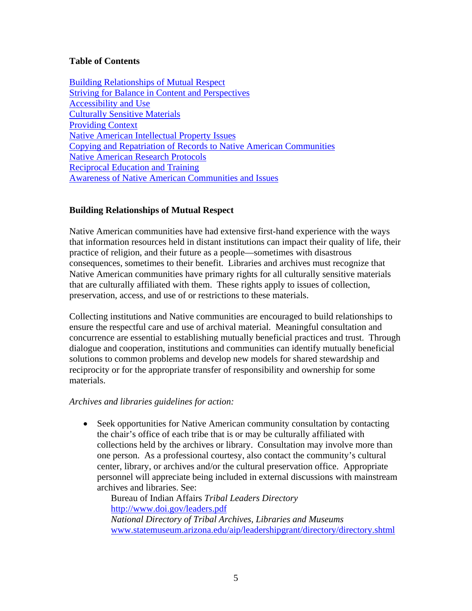# **Table of Contents**

Building Relationships of Mutual Respect Striving for Balance in Content and Perspectives Accessibility and Use Culturally Sensitive Materials Providing Context Native American Intellectual Property Issues Copying and Repatriation of Records to Native American Communities Native American Research Protocols Reciprocal Education and Training Awareness of Native American Communities and Issues

# **Building Relationships of Mutual Respect**

Native American communities have had extensive first-hand experience with the ways that information resources held in distant institutions can impact their quality of life, their practice of religion, and their future as a people—sometimes with disastrous consequences, sometimes to their benefit. Libraries and archives must recognize that Native American communities have primary rights for all culturally sensitive materials that are culturally affiliated with them. These rights apply to issues of collection, preservation, access, and use of or restrictions to these materials.

Collecting institutions and Native communities are encouraged to build relationships to ensure the respectful care and use of archival material. Meaningful consultation and concurrence are essential to establishing mutually beneficial practices and trust. Through dialogue and cooperation, institutions and communities can identify mutually beneficial solutions to common problems and develop new models for shared stewardship and reciprocity or for the appropriate transfer of responsibility and ownership for some materials.

## *Archives and libraries guidelines for action:*

• Seek opportunities for Native American community consultation by contacting the chair's office of each tribe that is or may be culturally affiliated with collections held by the archives or library. Consultation may involve more than one person. As a professional courtesy, also contact the community's cultural center, library, or archives and/or the cultural preservation office. Appropriate personnel will appreciate being included in external discussions with mainstream archives and libraries. See:

Bureau of Indian Affairs *Tribal Leaders Directory* http://www.doi.gov/leaders.pdf *National Directory of Tribal Archives, Libraries and Museums*  www.statemuseum.arizona.edu/aip/leadershipgrant/directory/directory.shtml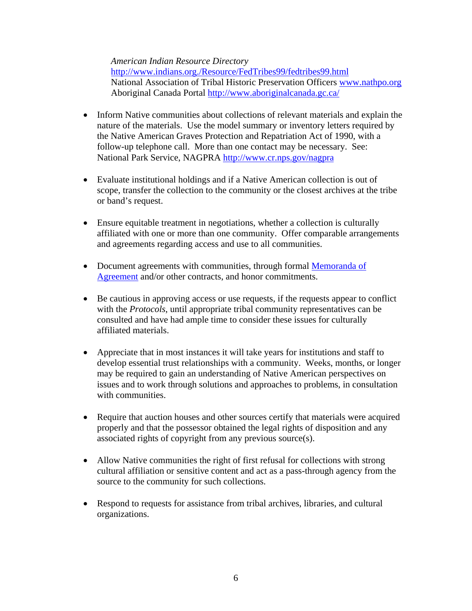*American Indian Resource Directory*

http://www.indians.org./Resource/FedTribes99/fedtribes99.html National Association of Tribal Historic Preservation Officers www.nathpo.org Aboriginal Canada Portal http://www.aboriginalcanada.gc.ca/

- Inform Native communities about collections of relevant materials and explain the nature of the materials. Use the model summary or inventory letters required by the Native American Graves Protection and Repatriation Act of 1990, with a follow-up telephone call. More than one contact may be necessary. See: National Park Service, NAGPRA http://www.cr.nps.gov/nagpra
- Evaluate institutional holdings and if a Native American collection is out of scope, transfer the collection to the community or the closest archives at the tribe or band's request.
- Ensure equitable treatment in negotiations, whether a collection is culturally affiliated with one or more than one community. Offer comparable arrangements and agreements regarding access and use to all communities.
- Document agreements with communities, through formal Memoranda of Agreement and/or other contracts, and honor commitments.
- Be cautious in approving access or use requests, if the requests appear to conflict with the *Protocols*, until appropriate tribal community representatives can be consulted and have had ample time to consider these issues for culturally affiliated materials.
- Appreciate that in most instances it will take years for institutions and staff to develop essential trust relationships with a community. Weeks, months, or longer may be required to gain an understanding of Native American perspectives on issues and to work through solutions and approaches to problems, in consultation with communities.
- Require that auction houses and other sources certify that materials were acquired properly and that the possessor obtained the legal rights of disposition and any associated rights of copyright from any previous source(s).
- Allow Native communities the right of first refusal for collections with strong cultural affiliation or sensitive content and act as a pass-through agency from the source to the community for such collections.
- Respond to requests for assistance from tribal archives, libraries, and cultural organizations.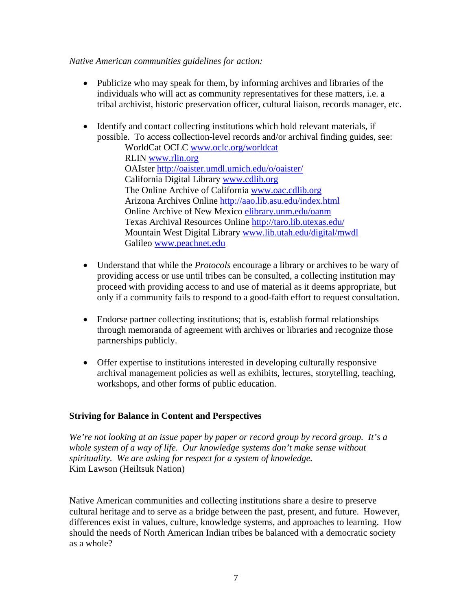## *Native American communities guidelines for action:*

- Publicize who may speak for them, by informing archives and libraries of the individuals who will act as community representatives for these matters, i.e. a tribal archivist, historic preservation officer, cultural liaison, records manager, etc.
- Identify and contact collecting institutions which hold relevant materials, if possible. To access collection-level records and/or archival finding guides, see:

WorldCat OCLC www.oclc.org/worldcat RLIN www.rlin.org OAIster http://oaister.umdl.umich.edu/o/oaister/ California Digital Library www.cdlib.org The Online Archive of California www.oac.cdlib.org Arizona Archives Online http://aao.lib.asu.edu/index.html Online Archive of New Mexico elibrary.unm.edu/oanm Texas Archival Resources Online http://taro.lib.utexas.edu/ Mountain West Digital Library www.lib.utah.edu/digital/mwdl Galileo www.peachnet.edu

- Understand that while the *Protocols* encourage a library or archives to be wary of providing access or use until tribes can be consulted, a collecting institution may proceed with providing access to and use of material as it deems appropriate, but only if a community fails to respond to a good-faith effort to request consultation.
- Endorse partner collecting institutions; that is, establish formal relationships through memoranda of agreement with archives or libraries and recognize those partnerships publicly.
- Offer expertise to institutions interested in developing culturally responsive archival management policies as well as exhibits, lectures, storytelling, teaching, workshops, and other forms of public education.

## **Striving for Balance in Content and Perspectives**

*We're not looking at an issue paper by paper or record group by record group. It's a whole system of a way of life. Our knowledge systems don't make sense without spirituality. We are asking for respect for a system of knowledge.*  Kim Lawson (Heiltsuk Nation)

Native American communities and collecting institutions share a desire to preserve cultural heritage and to serve as a bridge between the past, present, and future. However, differences exist in values, culture, knowledge systems, and approaches to learning. How should the needs of North American Indian tribes be balanced with a democratic society as a whole?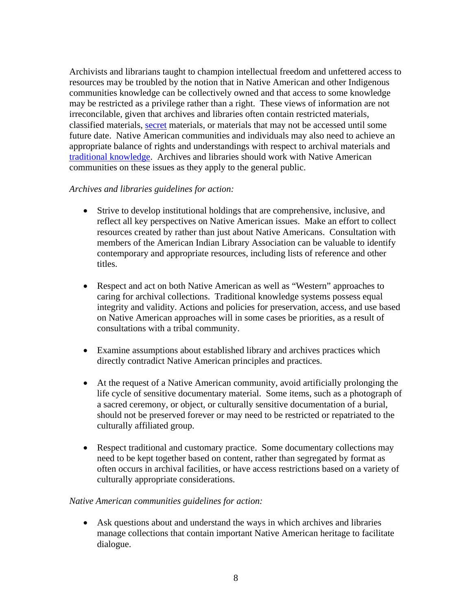Archivists and librarians taught to champion intellectual freedom and unfettered access to resources may be troubled by the notion that in Native American and other Indigenous communities knowledge can be collectively owned and that access to some knowledge may be restricted as a privilege rather than a right. These views of information are not irreconcilable, given that archives and libraries often contain restricted materials, classified materials, secret materials, or materials that may not be accessed until some future date. Native American communities and individuals may also need to achieve an appropriate balance of rights and understandings with respect to archival materials and traditional knowledge. Archives and libraries should work with Native American communities on these issues as they apply to the general public.

# *Archives and libraries guidelines for action:*

- Strive to develop institutional holdings that are comprehensive, inclusive, and reflect all key perspectives on Native American issues. Make an effort to collect resources created by rather than just about Native Americans. Consultation with members of the American Indian Library Association can be valuable to identify contemporary and appropriate resources, including lists of reference and other titles.
- Respect and act on both Native American as well as "Western" approaches to caring for archival collections. Traditional knowledge systems possess equal integrity and validity. Actions and policies for preservation, access, and use based on Native American approaches will in some cases be priorities, as a result of consultations with a tribal community.
- Examine assumptions about established library and archives practices which directly contradict Native American principles and practices.
- At the request of a Native American community, avoid artificially prolonging the life cycle of sensitive documentary material. Some items, such as a photograph of a sacred ceremony, or object, or culturally sensitive documentation of a burial, should not be preserved forever or may need to be restricted or repatriated to the culturally affiliated group.
- Respect traditional and customary practice. Some documentary collections may need to be kept together based on content, rather than segregated by format as often occurs in archival facilities, or have access restrictions based on a variety of culturally appropriate considerations.

## *Native American communities guidelines for action:*

• Ask questions about and understand the ways in which archives and libraries manage collections that contain important Native American heritage to facilitate dialogue.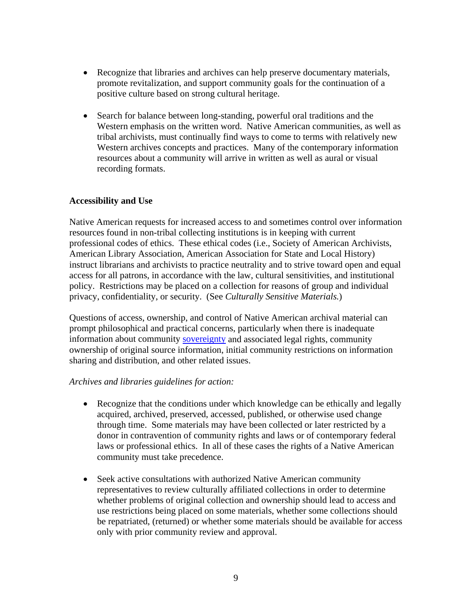- Recognize that libraries and archives can help preserve documentary materials, promote revitalization, and support community goals for the continuation of a positive culture based on strong cultural heritage.
- Search for balance between long-standing, powerful oral traditions and the Western emphasis on the written word. Native American communities, as well as tribal archivists, must continually find ways to come to terms with relatively new Western archives concepts and practices. Many of the contemporary information resources about a community will arrive in written as well as aural or visual recording formats.

# **Accessibility and Use**

Native American requests for increased access to and sometimes control over information resources found in non-tribal collecting institutions is in keeping with current professional codes of ethics. These ethical codes (i.e., Society of American Archivists, American Library Association, American Association for State and Local History) instruct librarians and archivists to practice neutrality and to strive toward open and equal access for all patrons, in accordance with the law, cultural sensitivities, and institutional policy. Restrictions may be placed on a collection for reasons of group and individual privacy, confidentiality, or security. (See *Culturally Sensitive Materials.*)

Questions of access, ownership, and control of Native American archival material can prompt philosophical and practical concerns, particularly when there is inadequate information about community sovereignty and associated legal rights, community ownership of original source information, initial community restrictions on information sharing and distribution, and other related issues.

## *Archives and libraries guidelines for action:*

- Recognize that the conditions under which knowledge can be ethically and legally acquired, archived, preserved, accessed, published, or otherwise used change through time. Some materials may have been collected or later restricted by a donor in contravention of community rights and laws or of contemporary federal laws or professional ethics. In all of these cases the rights of a Native American community must take precedence.
- Seek active consultations with authorized Native American community representatives to review culturally affiliated collections in order to determine whether problems of original collection and ownership should lead to access and use restrictions being placed on some materials, whether some collections should be repatriated, (returned) or whether some materials should be available for access only with prior community review and approval.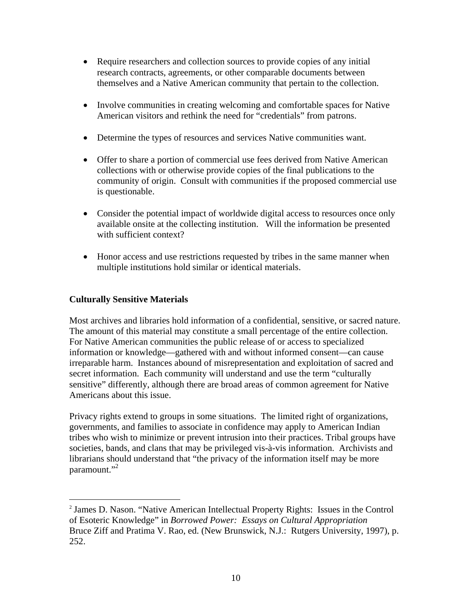- Require researchers and collection sources to provide copies of any initial research contracts, agreements, or other comparable documents between themselves and a Native American community that pertain to the collection.
- Involve communities in creating welcoming and comfortable spaces for Native American visitors and rethink the need for "credentials" from patrons.
- Determine the types of resources and services Native communities want.
- Offer to share a portion of commercial use fees derived from Native American collections with or otherwise provide copies of the final publications to the community of origin. Consult with communities if the proposed commercial use is questionable.
- Consider the potential impact of worldwide digital access to resources once only available onsite at the collecting institution. Will the information be presented with sufficient context?
- Honor access and use restrictions requested by tribes in the same manner when multiple institutions hold similar or identical materials.

# **Culturally Sensitive Materials**

 $\overline{a}$ 

Most archives and libraries hold information of a confidential, sensitive, or sacred nature. The amount of this material may constitute a small percentage of the entire collection. For Native American communities the public release of or access to specialized information or knowledge—gathered with and without informed consent—can cause irreparable harm. Instances abound of misrepresentation and exploitation of sacred and secret information. Each community will understand and use the term "culturally sensitive" differently, although there are broad areas of common agreement for Native Americans about this issue.

Privacy rights extend to groups in some situations. The limited right of organizations, governments, and families to associate in confidence may apply to American Indian tribes who wish to minimize or prevent intrusion into their practices. Tribal groups have societies, bands, and clans that may be privileged vis-à-vis information. Archivists and librarians should understand that "the privacy of the information itself may be more paramount."<sup>2</sup>

<sup>2</sup> James D. Nason. "Native American Intellectual Property Rights: Issues in the Control of Esoteric Knowledge" in *Borrowed Power: Essays on Cultural Appropriation* Bruce Ziff and Pratima V. Rao, ed. (New Brunswick, N.J.: Rutgers University, 1997), p. 252.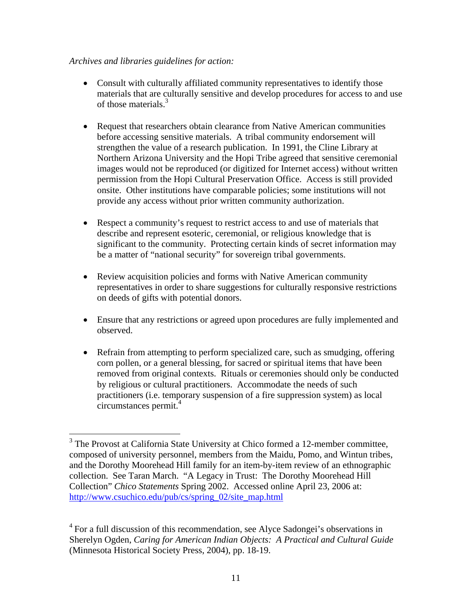# *Archives and libraries guidelines for action:*

 $\overline{a}$ 

- Consult with culturally affiliated community representatives to identify those materials that are culturally sensitive and develop procedures for access to and use of those materials.3
- Request that researchers obtain clearance from Native American communities before accessing sensitive materials. A tribal community endorsement will strengthen the value of a research publication. In 1991, the Cline Library at Northern Arizona University and the Hopi Tribe agreed that sensitive ceremonial images would not be reproduced (or digitized for Internet access) without written permission from the Hopi Cultural Preservation Office. Access is still provided onsite. Other institutions have comparable policies; some institutions will not provide any access without prior written community authorization.
- Respect a community's request to restrict access to and use of materials that describe and represent esoteric, ceremonial, or religious knowledge that is significant to the community. Protecting certain kinds of secret information may be a matter of "national security" for sovereign tribal governments.
- Review acquisition policies and forms with Native American community representatives in order to share suggestions for culturally responsive restrictions on deeds of gifts with potential donors.
- Ensure that any restrictions or agreed upon procedures are fully implemented and observed.
- Refrain from attempting to perform specialized care, such as smudging, offering corn pollen, or a general blessing, for sacred or spiritual items that have been removed from original contexts. Rituals or ceremonies should only be conducted by religious or cultural practitioners. Accommodate the needs of such practitioners (i.e. temporary suspension of a fire suppression system) as local circumstances permit.4

<sup>&</sup>lt;sup>3</sup> The Provost at California State University at Chico formed a 12-member committee, composed of university personnel, members from the Maidu, Pomo, and Wintun tribes, and the Dorothy Moorehead Hill family for an item-by-item review of an ethnographic collection. See Taran March. "A Legacy in Trust: The Dorothy Moorehead Hill Collection" *Chico Statements* Spring 2002. Accessed online April 23, 2006 at: http://www.csuchico.edu/pub/cs/spring\_02/site\_map.html

 $4$  For a full discussion of this recommendation, see Alyce Sadongei's observations in Sherelyn Ogden, *Caring for American Indian Objects: A Practical and Cultural Guide* (Minnesota Historical Society Press, 2004), pp. 18-19.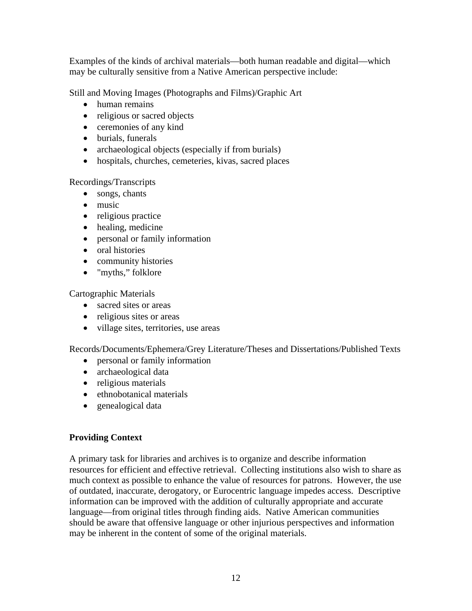Examples of the kinds of archival materials—both human readable and digital—which may be culturally sensitive from a Native American perspective include:

Still and Moving Images (Photographs and Films)/Graphic Art

- human remains
- religious or sacred objects
- ceremonies of any kind
- burials, funerals
- archaeological objects (especially if from burials)
- hospitals, churches, cemeteries, kivas, sacred places

Recordings/Transcripts

- songs, chants
- music
- religious practice
- healing, medicine
- personal or family information
- oral histories
- community histories
- "myths," folklore

Cartographic Materials

- sacred sites or areas
- religious sites or areas
- village sites, territories, use areas

Records/Documents/Ephemera/Grey Literature/Theses and Dissertations/Published Texts

- personal or family information
- archaeological data
- religious materials
- ethnobotanical materials
- genealogical data

# **Providing Context**

A primary task for libraries and archives is to organize and describe information resources for efficient and effective retrieval. Collecting institutions also wish to share as much context as possible to enhance the value of resources for patrons. However, the use of outdated, inaccurate, derogatory, or Eurocentric language impedes access. Descriptive information can be improved with the addition of culturally appropriate and accurate language—from original titles through finding aids. Native American communities should be aware that offensive language or other injurious perspectives and information may be inherent in the content of some of the original materials.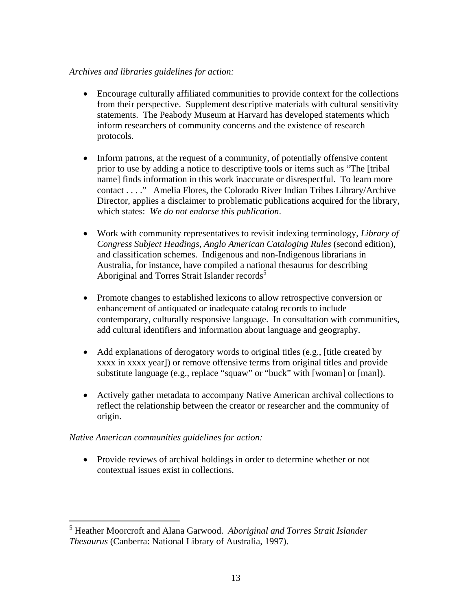# *Archives and libraries guidelines for action:*

- Encourage culturally affiliated communities to provide context for the collections from their perspective. Supplement descriptive materials with cultural sensitivity statements. The Peabody Museum at Harvard has developed statements which inform researchers of community concerns and the existence of research protocols.
- Inform patrons, at the request of a community, of potentially offensive content prior to use by adding a notice to descriptive tools or items such as "The [tribal name] finds information in this work inaccurate or disrespectful. To learn more contact . . . ." Amelia Flores, the Colorado River Indian Tribes Library/Archive Director, applies a disclaimer to problematic publications acquired for the library, which states: *We do not endorse this publication*.
- Work with community representatives to revisit indexing terminology, *Library of Congress Subject Headings*, *Anglo American Cataloging Rules* (second edition), and classification schemes. Indigenous and non-Indigenous librarians in Australia, for instance, have compiled a national thesaurus for describing Aboriginal and Torres Strait Islander records<sup>5</sup>
- Promote changes to established lexicons to allow retrospective conversion or enhancement of antiquated or inadequate catalog records to include contemporary, culturally responsive language. In consultation with communities, add cultural identifiers and information about language and geography.
- Add explanations of derogatory words to original titles (e.g., [title created by xxxx in xxxx year]) or remove offensive terms from original titles and provide substitute language (e.g., replace "squaw" or "buck" with [woman] or [man]).
- Actively gather metadata to accompany Native American archival collections to reflect the relationship between the creator or researcher and the community of origin.

# *Native American communities guidelines for action:*

1

• Provide reviews of archival holdings in order to determine whether or not contextual issues exist in collections.

<sup>5</sup> Heather Moorcroft and Alana Garwood. *Aboriginal and Torres Strait Islander Thesaurus* (Canberra: National Library of Australia, 1997).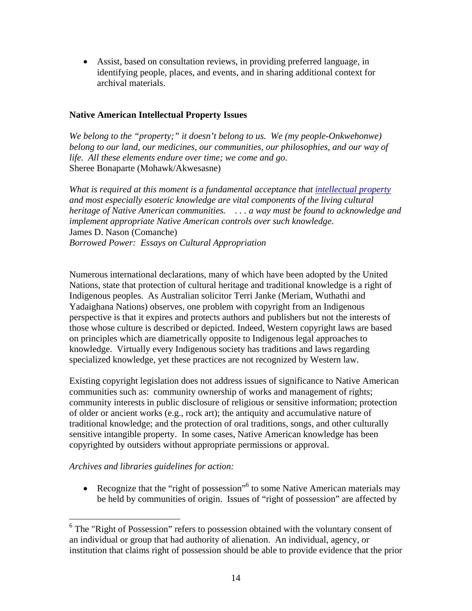• Assist, based on consultation reviews, in providing preferred language, in identifying people, places, and events, and in sharing additional context for archival materials.

# **Native American Intellectual Property Issues**

*We belong to the "property;" it doesn't belong to us. We (my people-Onkwehonwe) belong to our land, our medicines, our communities, our philosophies, and our way of life. All these elements endure over time; we come and go*. Sheree Bonaparte (Mohawk/Akwesasne)

*What is required at this moment is a fundamental acceptance that intellectual property and most especially esoteric knowledge are vital components of the living cultural heritage of Native American communities. . . . a way must be found to acknowledge and implement appropriate Native American controls over such knowledge*. James D. Nason (Comanche) *Borrowed Power: Essays on Cultural Appropriation* 

Numerous international declarations, many of which have been adopted by the United Nations, state that protection of cultural heritage and traditional knowledge is a right of Indigenous peoples. As Australian solicitor Terri Janke (Meriam, Wuthathi and Yadaighana Nations) observes, one problem with copyright from an Indigenous perspective is that it expires and protects authors and publishers but not the interests of those whose culture is described or depicted. Indeed, Western copyright laws are based on principles which are diametrically opposite to Indigenous legal approaches to knowledge. Virtually every Indigenous society has traditions and laws regarding specialized knowledge, yet these practices are not recognized by Western law.

Existing copyright legislation does not address issues of significance to Native American communities such as: community ownership of works and management of rights; community interests in public disclosure of religious or sensitive information; protection of older or ancient works (e.g., rock art); the antiquity and accumulative nature of traditional knowledge; and the protection of oral traditions, songs, and other culturally sensitive intangible property. In some cases, Native American knowledge has been copyrighted by outsiders without appropriate permissions or approval.

*Archives and libraries guidelines for action:* 

 $\overline{a}$ 

• Recognize that the "right of possession"<sup>6</sup> to some Native American materials may be held by communities of origin. Issues of "right of possession" are affected by

<sup>&</sup>lt;sup>6</sup> The "Right of Possession" refers to possession obtained with the voluntary consent of an individual or group that had authority of alienation. An individual, agency, or institution that claims right of possession should be able to provide evidence that the prior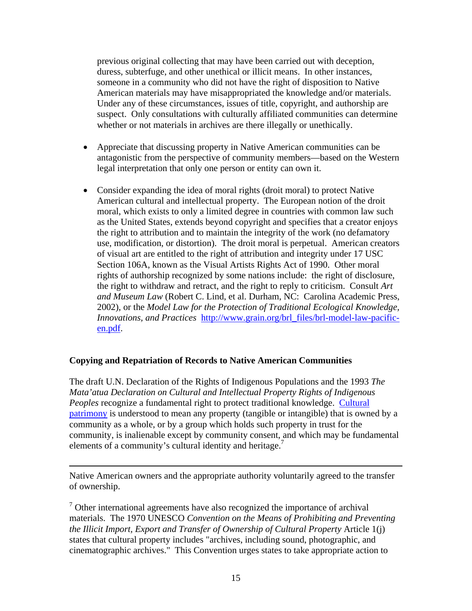previous original collecting that may have been carried out with deception, duress, subterfuge, and other unethical or illicit means. In other instances, someone in a community who did not have the right of disposition to Native American materials may have misappropriated the knowledge and/or materials. Under any of these circumstances, issues of title, copyright, and authorship are suspect. Only consultations with culturally affiliated communities can determine whether or not materials in archives are there illegally or unethically.

- Appreciate that discussing property in Native American communities can be antagonistic from the perspective of community members—based on the Western legal interpretation that only one person or entity can own it.
- Consider expanding the idea of moral rights (droit moral) to protect Native American cultural and intellectual property. The European notion of the droit moral, which exists to only a limited degree in countries with common law such as the United States, extends beyond copyright and specifies that a creator enjoys the right to attribution and to maintain the integrity of the work (no defamatory use, modification, or distortion). The droit moral is perpetual. American creators of visual art are entitled to the right of attribution and integrity under 17 USC Section 106A, known as the Visual Artists Rights Act of 1990. Other moral rights of authorship recognized by some nations include: the right of disclosure, the right to withdraw and retract, and the right to reply to criticism. Consult *Art and Museum Law* (Robert C. Lind, et al. Durham, NC: Carolina Academic Press, 2002), or the *Model Law for the Protection of Traditional Ecological Knowledge, Innovations, and Practices* http://www.grain.org/brl\_files/brl-model-law-pacificen.pdf.

# **Copying and Repatriation of Records to Native American Communities**

1

The draft U.N. Declaration of the Rights of Indigenous Populations and the 1993 *The Mata'atua Declaration on Cultural and Intellectual Property Rights of Indigenous Peoples* recognize a fundamental right to protect traditional knowledge. Cultural patrimony is understood to mean any property (tangible or intangible) that is owned by a community as a whole, or by a group which holds such property in trust for the community, is inalienable except by community consent, and which may be fundamental elements of a community's cultural identity and heritage.<sup>7</sup>

Native American owners and the appropriate authority voluntarily agreed to the transfer of ownership.

 $7$  Other international agreements have also recognized the importance of archival materials. The 1970 UNESCO *Convention on the Means of Prohibiting and Preventing the Illicit Import, Export and Transfer of Ownership of Cultural Property* Article 1(j) states that cultural property includes "archives, including sound, photographic, and cinematographic archives." This Convention urges states to take appropriate action to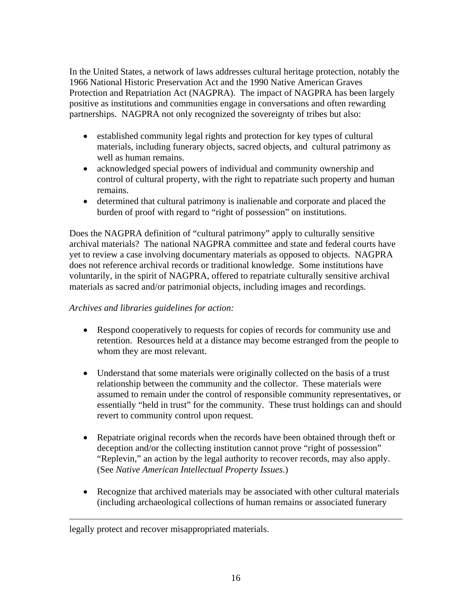In the United States, a network of laws addresses cultural heritage protection, notably the 1966 National Historic Preservation Act and the 1990 Native American Graves Protection and Repatriation Act (NAGPRA). The impact of NAGPRA has been largely positive as institutions and communities engage in conversations and often rewarding partnerships. NAGPRA not only recognized the sovereignty of tribes but also:

- established community legal rights and protection for key types of cultural materials, including funerary objects, sacred objects, and cultural patrimony as well as human remains.
- acknowledged special powers of individual and community ownership and control of cultural property, with the right to repatriate such property and human remains.
- determined that cultural patrimony is inalienable and corporate and placed the burden of proof with regard to "right of possession" on institutions.

Does the NAGPRA definition of "cultural patrimony" apply to culturally sensitive archival materials? The national NAGPRA committee and state and federal courts have yet to review a case involving documentary materials as opposed to objects. NAGPRA does not reference archival records or traditional knowledge. Some institutions have voluntarily, in the spirit of NAGPRA, offered to repatriate culturally sensitive archival materials as sacred and/or patrimonial objects, including images and recordings.

# *Archives and libraries guidelines for action:*

- Respond cooperatively to requests for copies of records for community use and retention. Resources held at a distance may become estranged from the people to whom they are most relevant.
- Understand that some materials were originally collected on the basis of a trust relationship between the community and the collector. These materials were assumed to remain under the control of responsible community representatives, or essentially "held in trust" for the community. These trust holdings can and should revert to community control upon request.
- Repatriate original records when the records have been obtained through theft or deception and/or the collecting institution cannot prove "right of possession" "Replevin," an action by the legal authority to recover records, may also apply. (See *Native American Intellectual Property Issues.*)
- Recognize that archived materials may be associated with other cultural materials (including archaeological collections of human remains or associated funerary

 $\overline{a}$ 

legally protect and recover misappropriated materials.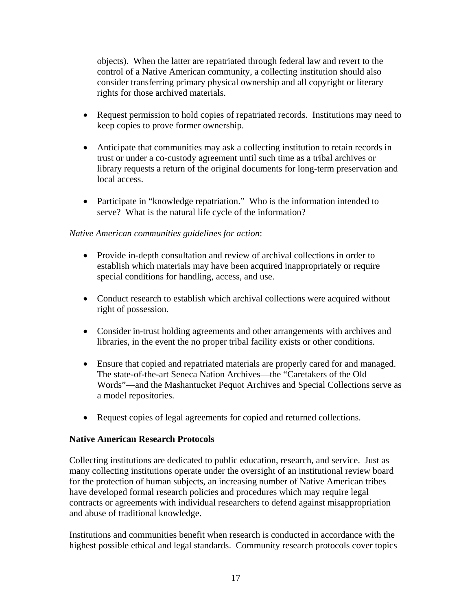objects). When the latter are repatriated through federal law and revert to the control of a Native American community, a collecting institution should also consider transferring primary physical ownership and all copyright or literary rights for those archived materials.

- Request permission to hold copies of repatriated records. Institutions may need to keep copies to prove former ownership.
- Anticipate that communities may ask a collecting institution to retain records in trust or under a co-custody agreement until such time as a tribal archives or library requests a return of the original documents for long-term preservation and local access.
- Participate in "knowledge repatriation." Who is the information intended to serve? What is the natural life cycle of the information?

# *Native American communities guidelines for action*:

- Provide in-depth consultation and review of archival collections in order to establish which materials may have been acquired inappropriately or require special conditions for handling, access, and use.
- Conduct research to establish which archival collections were acquired without right of possession.
- Consider in-trust holding agreements and other arrangements with archives and libraries, in the event the no proper tribal facility exists or other conditions.
- Ensure that copied and repatriated materials are properly cared for and managed. The state-of-the-art Seneca Nation Archives—the "Caretakers of the Old Words"—and the Mashantucket Pequot Archives and Special Collections serve as a model repositories.
- Request copies of legal agreements for copied and returned collections.

# **Native American Research Protocols**

Collecting institutions are dedicated to public education, research, and service. Just as many collecting institutions operate under the oversight of an institutional review board for the protection of human subjects, an increasing number of Native American tribes have developed formal research policies and procedures which may require legal contracts or agreements with individual researchers to defend against misappropriation and abuse of traditional knowledge.

Institutions and communities benefit when research is conducted in accordance with the highest possible ethical and legal standards. Community research protocols cover topics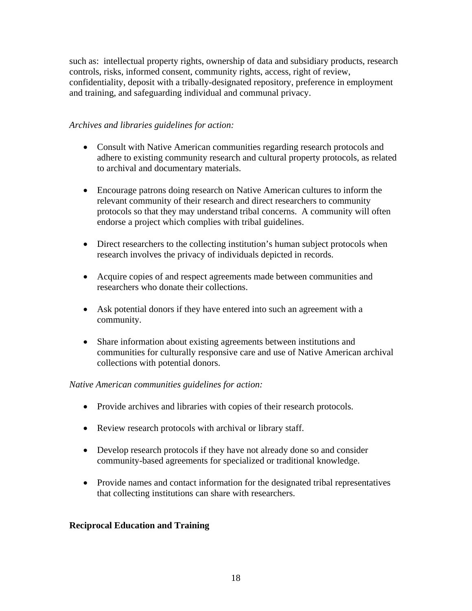such as: intellectual property rights, ownership of data and subsidiary products, research controls, risks, informed consent, community rights, access, right of review, confidentiality, deposit with a tribally-designated repository, preference in employment and training, and safeguarding individual and communal privacy.

# *Archives and libraries guidelines for action:*

- Consult with Native American communities regarding research protocols and adhere to existing community research and cultural property protocols, as related to archival and documentary materials.
- Encourage patrons doing research on Native American cultures to inform the relevant community of their research and direct researchers to community protocols so that they may understand tribal concerns. A community will often endorse a project which complies with tribal guidelines.
- Direct researchers to the collecting institution's human subject protocols when research involves the privacy of individuals depicted in records.
- Acquire copies of and respect agreements made between communities and researchers who donate their collections.
- Ask potential donors if they have entered into such an agreement with a community.
- Share information about existing agreements between institutions and communities for culturally responsive care and use of Native American archival collections with potential donors.

## *Native American communities guidelines for action:*

- Provide archives and libraries with copies of their research protocols.
- Review research protocols with archival or library staff.
- Develop research protocols if they have not already done so and consider community-based agreements for specialized or traditional knowledge.
- Provide names and contact information for the designated tribal representatives that collecting institutions can share with researchers.

## **Reciprocal Education and Training**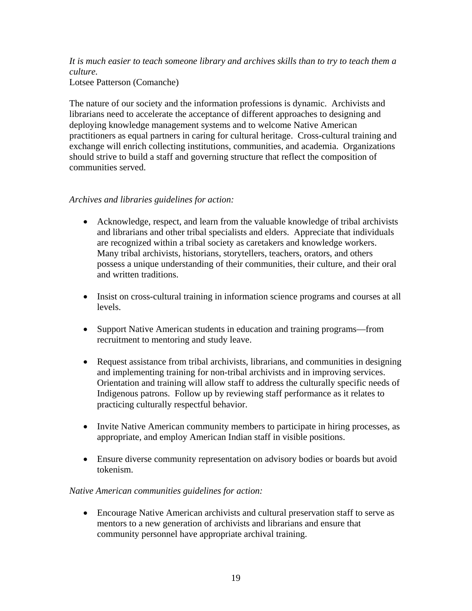*It is much easier to teach someone library and archives skills than to try to teach them a culture.* 

Lotsee Patterson (Comanche)

The nature of our society and the information professions is dynamic. Archivists and librarians need to accelerate the acceptance of different approaches to designing and deploying knowledge management systems and to welcome Native American practitioners as equal partners in caring for cultural heritage. Cross-cultural training and exchange will enrich collecting institutions, communities, and academia. Organizations should strive to build a staff and governing structure that reflect the composition of communities served.

# *Archives and libraries guidelines for action:*

- Acknowledge, respect, and learn from the valuable knowledge of tribal archivists and librarians and other tribal specialists and elders. Appreciate that individuals are recognized within a tribal society as caretakers and knowledge workers. Many tribal archivists, historians, storytellers, teachers, orators, and others possess a unique understanding of their communities, their culture, and their oral and written traditions.
- Insist on cross-cultural training in information science programs and courses at all levels.
- Support Native American students in education and training programs—from recruitment to mentoring and study leave.
- Request assistance from tribal archivists, librarians, and communities in designing and implementing training for non-tribal archivists and in improving services. Orientation and training will allow staff to address the culturally specific needs of Indigenous patrons. Follow up by reviewing staff performance as it relates to practicing culturally respectful behavior.
- Invite Native American community members to participate in hiring processes, as appropriate, and employ American Indian staff in visible positions.
- Ensure diverse community representation on advisory bodies or boards but avoid tokenism.

## *Native American communities guidelines for action:*

• Encourage Native American archivists and cultural preservation staff to serve as mentors to a new generation of archivists and librarians and ensure that community personnel have appropriate archival training.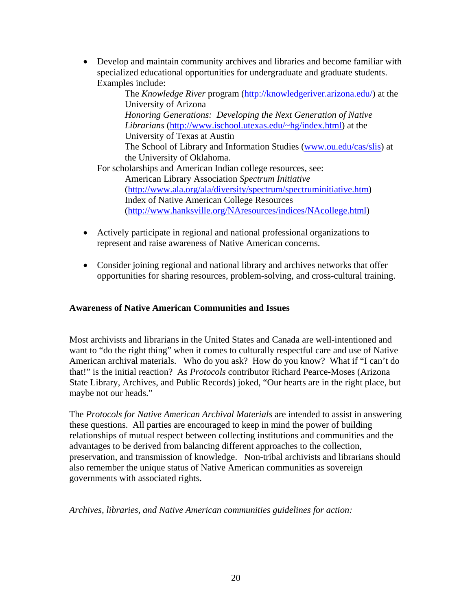• Develop and maintain community archives and libraries and become familiar with specialized educational opportunities for undergraduate and graduate students. Examples include:

The *Knowledge River* program (http://knowledgeriver.arizona.edu/) at the University of Arizona *Honoring Generations: Developing the Next Generation of Native Librarians* (http://www.ischool.utexas.edu/~hg/index.html) at the University of Texas at Austin The School of Library and Information Studies (www.ou.edu/cas/slis) at the University of Oklahoma. For scholarships and American Indian college resources, see: American Library Association *Spectrum Initiative*  (http://www.ala.org/ala/diversity/spectrum/spectruminitiative.htm)

Index of Native American College Resources (http://www.hanksville.org/NAresources/indices/NAcollege.html)

- Actively participate in regional and national professional organizations to represent and raise awareness of Native American concerns.
- Consider joining regional and national library and archives networks that offer opportunities for sharing resources, problem-solving, and cross-cultural training.

# **Awareness of Native American Communities and Issues**

Most archivists and librarians in the United States and Canada are well-intentioned and want to "do the right thing" when it comes to culturally respectful care and use of Native American archival materials. Who do you ask? How do you know? What if "I can't do that!" is the initial reaction? As *Protocols* contributor Richard Pearce-Moses (Arizona State Library, Archives, and Public Records) joked, "Our hearts are in the right place, but maybe not our heads."

The *Protocols for Native American Archival Materials* are intended to assist in answering these questions. All parties are encouraged to keep in mind the power of building relationships of mutual respect between collecting institutions and communities and the advantages to be derived from balancing different approaches to the collection, preservation, and transmission of knowledge. Non-tribal archivists and librarians should also remember the unique status of Native American communities as sovereign governments with associated rights.

*Archives, libraries, and Native American communities guidelines for action:*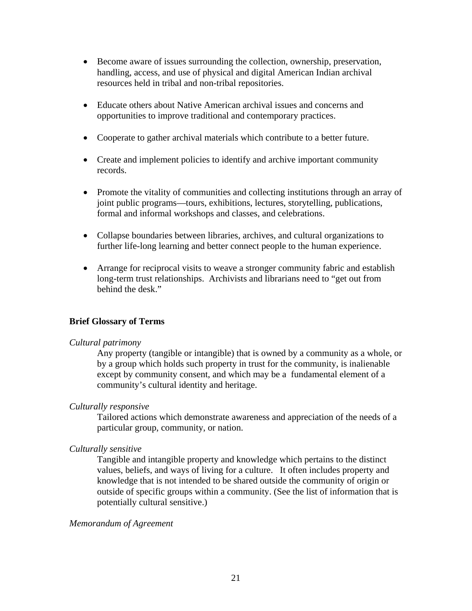- Become aware of issues surrounding the collection, ownership, preservation, handling, access, and use of physical and digital American Indian archival resources held in tribal and non-tribal repositories.
- Educate others about Native American archival issues and concerns and opportunities to improve traditional and contemporary practices.
- Cooperate to gather archival materials which contribute to a better future.
- Create and implement policies to identify and archive important community records.
- Promote the vitality of communities and collecting institutions through an array of joint public programs—tours, exhibitions, lectures, storytelling, publications, formal and informal workshops and classes, and celebrations.
- Collapse boundaries between libraries, archives, and cultural organizations to further life-long learning and better connect people to the human experience.
- Arrange for reciprocal visits to weave a stronger community fabric and establish long-term trust relationships. Archivists and librarians need to "get out from behind the desk."

# **Brief Glossary of Terms**

## *Cultural patrimony*

Any property (tangible or intangible) that is owned by a community as a whole, or by a group which holds such property in trust for the community, is inalienable except by community consent, and which may be a fundamental element of a community's cultural identity and heritage.

## *Culturally responsive*

Tailored actions which demonstrate awareness and appreciation of the needs of a particular group, community, or nation.

### *Culturally sensitive*

Tangible and intangible property and knowledge which pertains to the distinct values, beliefs, and ways of living for a culture. It often includes property and knowledge that is not intended to be shared outside the community of origin or outside of specific groups within a community. (See the list of information that is potentially cultural sensitive.)

### *Memorandum of Agreement*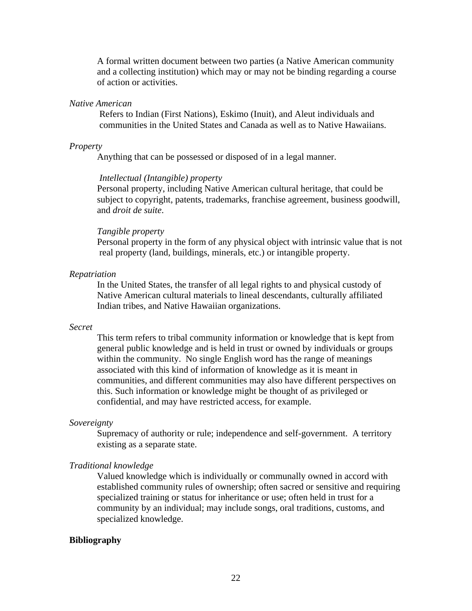A formal written document between two parties (a Native American community and a collecting institution) which may or may not be binding regarding a course of action or activities.

### *Native American*

 Refers to Indian (First Nations), Eskimo (Inuit), and Aleut individuals and communities in the United States and Canada as well as to Native Hawaiians.

#### *Property*

Anything that can be possessed or disposed of in a legal manner.

#### *Intellectual (Intangible) property*

Personal property, including Native American cultural heritage, that could be subject to copyright, patents, trademarks, franchise agreement, business goodwill, and *droit de suite*.

#### *Tangible property*

 Personal property in the form of any physical object with intrinsic value that is not real property (land, buildings, minerals, etc.) or intangible property.

#### *Repatriation*

In the United States, the transfer of all legal rights to and physical custody of Native American cultural materials to lineal descendants, culturally affiliated Indian tribes, and Native Hawaiian organizations.

### *Secret*

This term refers to tribal community information or knowledge that is kept from general public knowledge and is held in trust or owned by individuals or groups within the community. No single English word has the range of meanings associated with this kind of information of knowledge as it is meant in communities, and different communities may also have different perspectives on this. Such information or knowledge might be thought of as privileged or confidential, and may have restricted access, for example.

#### *Sovereignty*

Supremacy of authority or rule; independence and self-government. A territory existing as a separate state.

#### *Traditional knowledge*

Valued knowledge which is individually or communally owned in accord with established community rules of ownership; often sacred or sensitive and requiring specialized training or status for inheritance or use; often held in trust for a community by an individual; may include songs, oral traditions, customs, and specialized knowledge.

#### **Bibliography**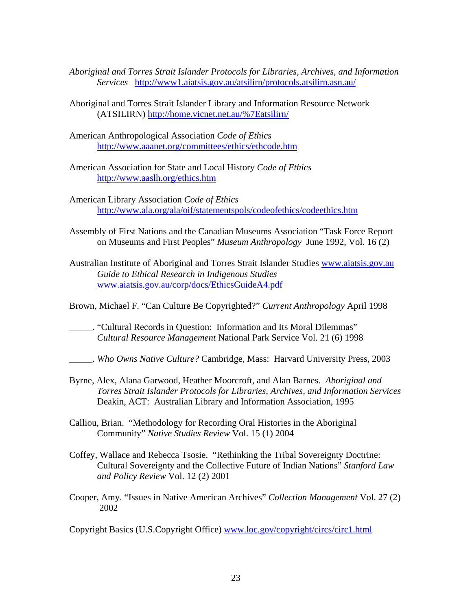- *Aboriginal and Torres Strait Islander Protocols for Libraries, Archives, and Information Services* http://www1.aiatsis.gov.au/atsilirn/protocols.atsilirn.asn.au/
- Aboriginal and Torres Strait Islander Library and Information Resource Network (ATSILIRN) http://home.vicnet.net.au/%7Eatsilirn/
- American Anthropological Association *Code of Ethics*  http://www.aaanet.org/committees/ethics/ethcode.htm
- American Association for State and Local History *Code of Ethics* http://www.aaslh.org/ethics.htm
- American Library Association *Code of Ethics* http://www.ala.org/ala/oif/statementspols/codeofethics/codeethics.htm
- Assembly of First Nations and the Canadian Museums Association "Task Force Report on Museums and First Peoples" *Museum Anthropology* June 1992, Vol. 16 (2)
- Australian Institute of Aboriginal and Torres Strait Islander Studies www.aiatsis.gov.au *Guide to Ethical Research in Indigenous Studies* www.aiatsis.gov.au/corp/docs/EthicsGuideA4.pdf
- Brown, Michael F. "Can Culture Be Copyrighted?" *Current Anthropology* April 1998
- \_\_\_\_\_. "Cultural Records in Question: Information and Its Moral Dilemmas" *Cultural Resource Management* National Park Service Vol. 21 (6) 1998
- \_\_\_\_\_. *Who Owns Native Culture?* Cambridge, Mass: Harvard University Press, 2003
- Byrne, Alex, Alana Garwood, Heather Moorcroft, and Alan Barnes. *Aboriginal and Torres Strait Islander Protocols for Libraries, Archives, and Information Services*  Deakin, ACT: Australian Library and Information Association, 1995
- Calliou, Brian. "Methodology for Recording Oral Histories in the Aboriginal Community" *Native Studies Review* Vol. 15 (1) 2004
- Coffey, Wallace and Rebecca Tsosie. "Rethinking the Tribal Sovereignty Doctrine: Cultural Sovereignty and the Collective Future of Indian Nations" *Stanford Law and Policy Review* Vol. 12 (2) 2001
- Cooper, Amy. "Issues in Native American Archives" *Collection Management* Vol. 27 (2) 2002

Copyright Basics (U.S.Copyright Office) www.loc.gov/copyright/circs/circ1.html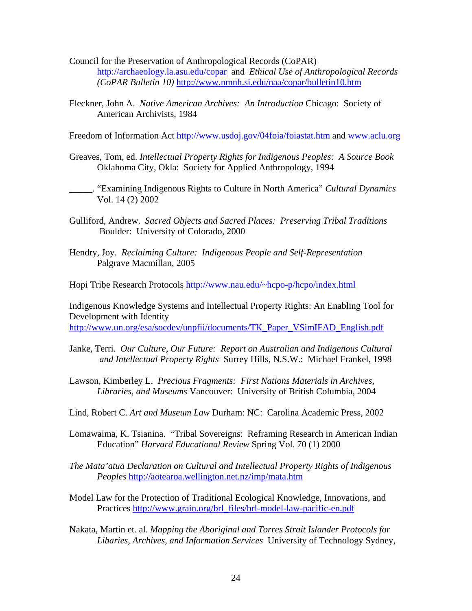- Council for the Preservation of Anthropological Records (CoPAR) http://archaeology.la.asu.edu/copar and *Ethical Use of Anthropological Records (CoPAR Bulletin 10)* http://www.nmnh.si.edu/naa/copar/bulletin10.htm
- Fleckner, John A. *Native American Archives: An Introduction* Chicago: Society of American Archivists, 1984

Freedom of Information Act http://www.usdoj.gov/04foia/foiastat.htm and www.aclu.org

- Greaves, Tom, ed. *Intellectual Property Rights for Indigenous Peoples: A Source Book*  Oklahoma City, Okla: Society for Applied Anthropology, 1994
- \_\_\_\_\_. "Examining Indigenous Rights to Culture in North America" *Cultural Dynamics*  Vol. 14 (2) 2002
- Gulliford, Andrew. *Sacred Objects and Sacred Places: Preserving Tribal Traditions*  Boulder: University of Colorado, 2000
- Hendry, Joy. *Reclaiming Culture: Indigenous People and Self-Representation* Palgrave Macmillan, 2005
- Hopi Tribe Research Protocols http://www.nau.edu/~hcpo-p/hcpo/index.html

Indigenous Knowledge Systems and Intellectual Property Rights: An Enabling Tool for Development with Identity http://www.un.org/esa/socdev/unpfii/documents/TK\_Paper\_VSimIFAD\_English.pdf

- Janke, Terri. *Our Culture, Our Future: Report on Australian and Indigenous Cultural and Intellectual Property Rights* Surrey Hills, N.S.W.: Michael Frankel, 1998
- Lawson, Kimberley L. *Precious Fragments: First Nations Materials in Archives, Libraries, and Museums* Vancouver: University of British Columbia, 2004
- Lind, Robert C. *Art and Museum Law* Durham: NC: Carolina Academic Press, 2002
- Lomawaima, K. Tsianina. "Tribal Sovereigns: Reframing Research in American Indian Education" *Harvard Educational Review* Spring Vol. 70 (1) 2000
- *The Mata'atua Declaration on Cultural and Intellectual Property Rights of Indigenous Peoples* http://aotearoa.wellington.net.nz/imp/mata.htm
- Model Law for the Protection of Traditional Ecological Knowledge, Innovations, and Practices http://www.grain.org/brl\_files/brl-model-law-pacific-en.pdf
- Nakata, Martin et. al. *Mapping the Aboriginal and Torres Strait Islander Protocols for Libaries, Archives, and Information Services* University of Technology Sydney,